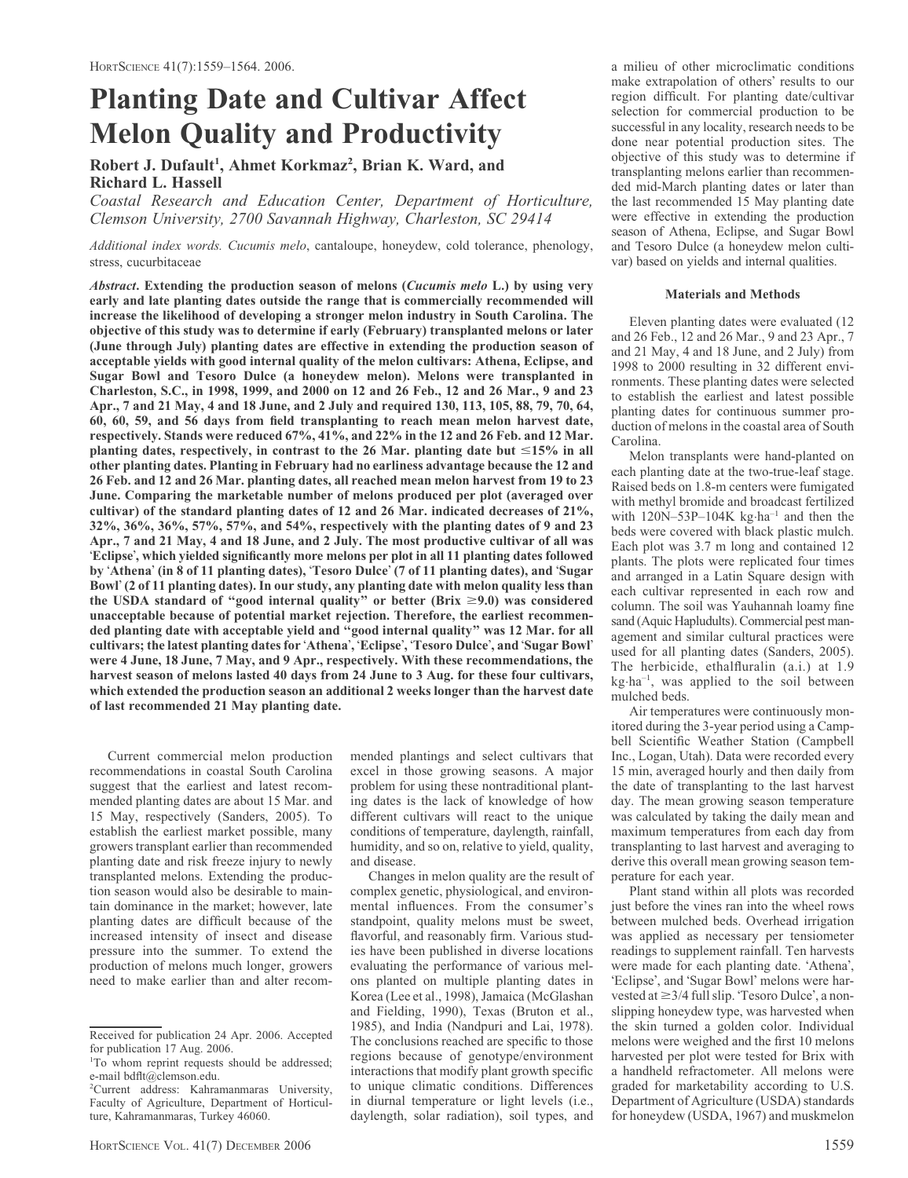# Planting Date and Cultivar Affect Melon Quality and Productivity

# Robert J. Dufault<sup>1</sup>, Ahmet Korkmaz<sup>2</sup>, Brian K. Ward, and Richard L. Hassell

Coastal Research and Education Center, Department of Horticulture, Clemson University, 2700 Savannah Highway, Charleston, SC 29414

Additional index words. Cucumis melo, cantaloupe, honeydew, cold tolerance, phenology, stress, cucurbitaceae

Abstract. Extending the production season of melons (Cucumis melo L.) by using very early and late planting dates outside the range that is commercially recommended will increase the likelihood of developing a stronger melon industry in South Carolina. The objective of this study was to determine if early (February) transplanted melons or later (June through July) planting dates are effective in extending the production season of acceptable yields with good internal quality of the melon cultivars: Athena, Eclipse, and Sugar Bowl and Tesoro Dulce (a honeydew melon). Melons were transplanted in Charleston, S.C., in 1998, 1999, and 2000 on 12 and 26 Feb., 12 and 26 Mar., 9 and 23 Apr., 7 and 21 May, 4 and 18 June, and 2 July and required 130, 113, 105, 88, 79, 70, 64, 60, 60, 59, and 56 days from field transplanting to reach mean melon harvest date, respectively. Stands were reduced 67%, 41%, and 22% in the 12 and 26 Feb. and 12 Mar. planting dates, respectively, in contrast to the 26 Mar. planting date but  $\leq 15\%$  in all other planting dates. Planting in February had no earliness advantage because the 12 and 26 Feb. and 12 and 26 Mar. planting dates, all reached mean melon harvest from 19 to 23 June. Comparing the marketable number of melons produced per plot (averaged over cultivar) of the standard planting dates of 12 and 26 Mar. indicated decreases of 21%, 32%, 36%, 36%, 57%, 57%, and 54%, respectively with the planting dates of 9 and 23 Apr., 7 and 21 May, 4 and 18 June, and 2 July. The most productive cultivar of all was 'Eclipse', which yielded significantly more melons per plot in all 11 planting dates followed by 'Athena' (in 8 of 11 planting dates), 'Tesoro Dulce' (7 of 11 planting dates), and 'Sugar Bowl' (2 of 11 planting dates). In our study, any planting date with melon quality less than the USDA standard of "good internal quality" or better (Brix  $\geq 9.0$ ) was considered unacceptable because of potential market rejection. Therefore, the earliest recommended planting date with acceptable yield and ''good internal quality'' was 12 Mar. for all cultivars; the latest planting dates for 'Athena', 'Eclipse', 'Tesoro Dulce', and 'Sugar Bowl' were 4 June, 18 June, 7 May, and 9 Apr., respectively. With these recommendations, the harvest season of melons lasted 40 days from 24 June to 3 Aug. for these four cultivars, which extended the production season an additional 2 weeks longer than the harvest date of last recommended 21 May planting date.

Current commercial melon production recommendations in coastal South Carolina suggest that the earliest and latest recommended planting dates are about 15 Mar. and 15 May, respectively (Sanders, 2005). To establish the earliest market possible, many growers transplant earlier than recommended planting date and risk freeze injury to newly transplanted melons. Extending the production season would also be desirable to maintain dominance in the market; however, late planting dates are difficult because of the increased intensity of insect and disease pressure into the summer. To extend the production of melons much longer, growers need to make earlier than and alter recommended plantings and select cultivars that excel in those growing seasons. A major problem for using these nontraditional planting dates is the lack of knowledge of how different cultivars will react to the unique conditions of temperature, daylength, rainfall, humidity, and so on, relative to yield, quality, and disease.

Changes in melon quality are the result of complex genetic, physiological, and environmental influences. From the consumer's standpoint, quality melons must be sweet, flavorful, and reasonably firm. Various studies have been published in diverse locations evaluating the performance of various melons planted on multiple planting dates in Korea (Lee et al., 1998), Jamaica (McGlashan and Fielding, 1990), Texas (Bruton et al., 1985), and India (Nandpuri and Lai, 1978). The conclusions reached are specific to those regions because of genotype/environment interactions that modify plant growth specific to unique climatic conditions. Differences in diurnal temperature or light levels (i.e., daylength, solar radiation), soil types, and

a milieu of other microclimatic conditions make extrapolation of others' results to our region difficult. For planting date/cultivar selection for commercial production to be successful in any locality, research needs to be done near potential production sites. The objective of this study was to determine if transplanting melons earlier than recommended mid-March planting dates or later than the last recommended 15 May planting date were effective in extending the production season of Athena, Eclipse, and Sugar Bowl and Tesoro Dulce (a honeydew melon cultivar) based on yields and internal qualities.

# Materials and Methods

Eleven planting dates were evaluated (12 and 26 Feb., 12 and 26 Mar., 9 and 23 Apr., 7 and 21 May, 4 and 18 June, and 2 July) from 1998 to 2000 resulting in 32 different environments. These planting dates were selected to establish the earliest and latest possible planting dates for continuous summer production of melons in the coastal area of South Carolina.

Melon transplants were hand-planted on each planting date at the two-true-leaf stage. Raised beds on 1.8-m centers were fumigated with methyl bromide and broadcast fertilized with  $120N-53P-104K$  kg·ha<sup>-1</sup> and then the beds were covered with black plastic mulch. Each plot was 3.7 m long and contained 12 plants. The plots were replicated four times and arranged in a Latin Square design with each cultivar represented in each row and column. The soil was Yauhannah loamy fine sand (Aquic Hapludults). Commercial pest management and similar cultural practices were used for all planting dates (Sanders, 2005). The herbicide, ethalfluralin (a.i.) at 1.9 kg·ha<sup>-1</sup>, was applied to the soil between mulched beds.

Air temperatures were continuously monitored during the 3-year period using a Campbell Scientific Weather Station (Campbell Inc., Logan, Utah). Data were recorded every 15 min, averaged hourly and then daily from the date of transplanting to the last harvest day. The mean growing season temperature was calculated by taking the daily mean and maximum temperatures from each day from transplanting to last harvest and averaging to derive this overall mean growing season temperature for each year.

Plant stand within all plots was recorded just before the vines ran into the wheel rows between mulched beds. Overhead irrigation was applied as necessary per tensiometer readings to supplement rainfall. Ten harvests were made for each planting date. 'Athena', 'Eclipse', and 'Sugar Bowl' melons were harvested at  $\geq$  3/4 full slip. 'Tesoro Dulce', a nonslipping honeydew type, was harvested when the skin turned a golden color. Individual melons were weighed and the first 10 melons harvested per plot were tested for Brix with a handheld refractometer. All melons were graded for marketability according to U.S. Department of Agriculture (USDA) standards for honeydew (USDA, 1967) and muskmelon

Received for publication 24 Apr. 2006. Accepted for publication 17 Aug. 2006.

<sup>&</sup>lt;sup>1</sup>To whom reprint requests should be addressed; e-mail bdflt@clemson.edu.

<sup>2</sup> Current address: Kahramanmaras University, Faculty of Agriculture, Department of Horticulture, Kahramanmaras, Turkey 46060.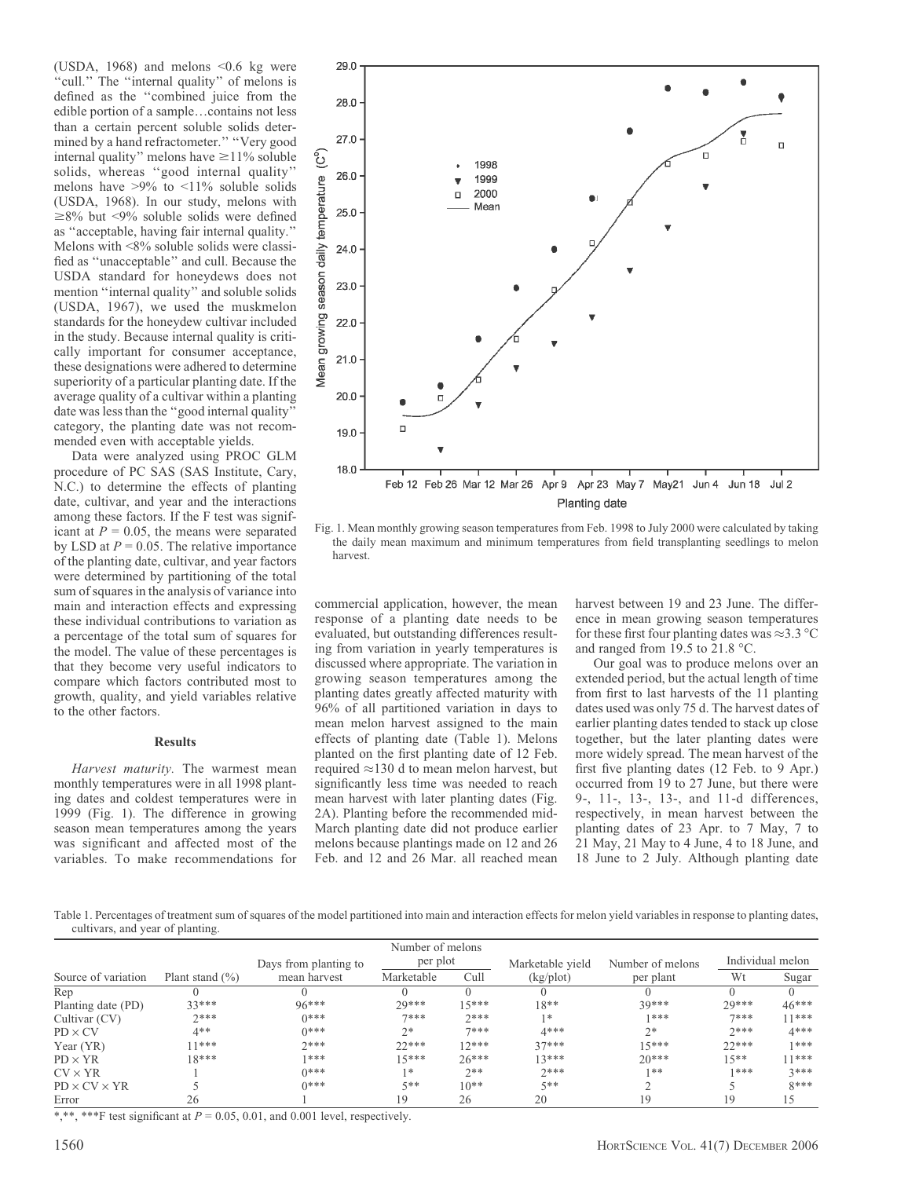(USDA, 1968) and melons  $\leq 0.6$  kg were "cull." The "internal quality" of melons is defined as the ''combined juice from the edible portion of a sample...contains not less than a certain percent soluble solids determined by a hand refractometer.'' ''Very good internal quality" melons have  $\geq$ 11% soluble solids, whereas ''good internal quality'' melons have >9% to <11% soluble solids (USDA, 1968). In our study, melons with  $\geq 8\%$  but <9% soluble solids were defined as ''acceptable, having fair internal quality.'' Melons with <8% soluble solids were classified as ''unacceptable'' and cull. Because the USDA standard for honeydews does not mention ''internal quality'' and soluble solids (USDA, 1967), we used the muskmelon standards for the honeydew cultivar included in the study. Because internal quality is critically important for consumer acceptance, these designations were adhered to determine superiority of a particular planting date. If the average quality of a cultivar within a planting date was less than the ''good internal quality'' category, the planting date was not recommended even with acceptable yields.

Data were analyzed using PROC GLM procedure of PC SAS (SAS Institute, Cary, N.C.) to determine the effects of planting date, cultivar, and year and the interactions among these factors. If the F test was significant at  $P = 0.05$ , the means were separated by LSD at  $P = 0.05$ . The relative importance of the planting date, cultivar, and year factors were determined by partitioning of the total sum of squares in the analysis of variance into main and interaction effects and expressing these individual contributions to variation as a percentage of the total sum of squares for the model. The value of these percentages is that they become very useful indicators to compare which factors contributed most to growth, quality, and yield variables relative to the other factors.

#### **Results**

Harvest maturity. The warmest mean monthly temperatures were in all 1998 planting dates and coldest temperatures were in 1999 (Fig. 1). The difference in growing season mean temperatures among the years was significant and affected most of the variables. To make recommendations for



Fig. 1. Mean monthly growing season temperatures from Feb. 1998 to July 2000 were calculated by taking the daily mean maximum and minimum temperatures from field transplanting seedlings to melon harvest.

commercial application, however, the mean response of a planting date needs to be evaluated, but outstanding differences resulting from variation in yearly temperatures is discussed where appropriate. The variation in growing season temperatures among the planting dates greatly affected maturity with 96% of all partitioned variation in days to mean melon harvest assigned to the main effects of planting date (Table 1). Melons planted on the first planting date of 12 Feb. required  $\approx$  130 d to mean melon harvest, but significantly less time was needed to reach mean harvest with later planting dates (Fig. 2A). Planting before the recommended mid-March planting date did not produce earlier melons because plantings made on 12 and 26 Feb. and 12 and 26 Mar. all reached mean

harvest between 19 and 23 June. The difference in mean growing season temperatures for these first four planting dates was  $\approx$ 3.3 °C and ranged from 19.5 to 21.8  $^{\circ}$ C.

Our goal was to produce melons over an extended period, but the actual length of time from first to last harvests of the 11 planting dates used was only 75 d. The harvest dates of earlier planting dates tended to stack up close together, but the later planting dates were more widely spread. The mean harvest of the first five planting dates (12 Feb. to 9 Apr.) occurred from 19 to 27 June, but there were 9-, 11-, 13-, 13-, and 11-d differences, respectively, in mean harvest between the planting dates of 23 Apr. to 7 May, 7 to 21 May, 21 May to 4 June, 4 to 18 June, and 18 June to 2 July. Although planting date

Table 1. Percentages of treatment sum of squares of the model partitioned into main and interaction effects for melon yield variables in response to planting dates, cultivars, and year of planting.

|                          |                     |                       | Number of melons |         |                       |                  |         |                  |
|--------------------------|---------------------|-----------------------|------------------|---------|-----------------------|------------------|---------|------------------|
|                          |                     | Days from planting to | per plot         |         | Marketable yield      | Number of melons |         | Individual melon |
| Source of variation      | Plant stand $(\% )$ | mean harvest          | Marketable       | Cull    | (kg <sub>p</sub> lot) | per plant        | Wt      | Sugar            |
| Rep                      |                     |                       |                  |         |                       |                  |         |                  |
| Planting date (PD)       | $33***$             | $96***$               | 29***            | $15***$ | $18**$                | $30***$          | 29***   | $46***$          |
| Cultivar (CV)            | $7***$              | $0***$                | $7***$           | $7***$  | $1*$                  | 1***             | $7***$  | $11***$          |
| $PD \times CV$           | $4**$               | $0***$                | $2*$             | $7***$  | $4***$                | $2*$             | $7***$  | $4***$           |
| Year $(YR)$              | $11***$             | $7***$                | $22***$          | $12***$ | $37***$               | $15***$          | $22***$ | 1***             |
| $PD \times YR$           | $18***$             | 1***                  | 15***            | $26***$ | $13***$               | $20***$          | $15**$  | 11***            |
| $CV \times YR$           |                     | $0***$                | $1*$             | $2**$   | $7***$                | $1**$            | 1***    | $3***$           |
| $PD \times CV \times YR$ |                     | $0***$                | $5**$            | $10**$  | $5**$                 |                  |         | $8***$           |
| Error                    | 26                  |                       | 19               | 26      | 20                    | -9               | 19      | 15               |

\*,\*\*, \*\*\*F test significant at  $P = 0.05, 0.01$ , and 0.001 level, respectively.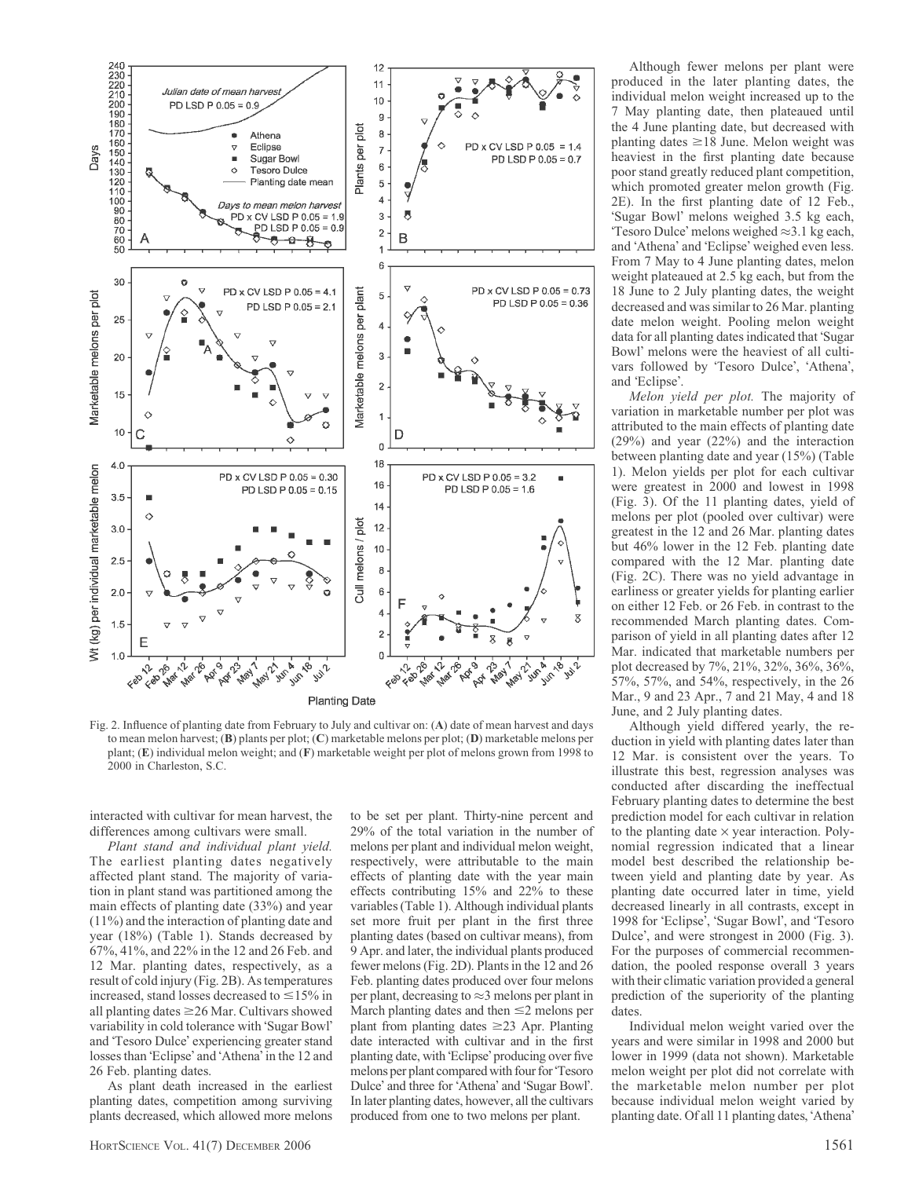

Fig. 2. Influence of planting date from February to July and cultivar on: (A) date of mean harvest and days to mean melon harvest; (B) plants per plot; (C) marketable melons per plot; (D) marketable melons per plant; (E) individual melon weight; and (F) marketable weight per plot of melons grown from 1998 to 2000 in Charleston, S.C.

interacted with cultivar for mean harvest, the differences among cultivars were small.

Plant stand and individual plant yield. The earliest planting dates negatively affected plant stand. The majority of variation in plant stand was partitioned among the main effects of planting date (33%) and year (11%) and the interaction of planting date and year (18%) (Table 1). Stands decreased by 67%, 41%, and 22% in the 12 and 26 Feb. and 12 Mar. planting dates, respectively, as a result of cold injury (Fig. 2B). As temperatures increased, stand losses decreased to  $\leq$ 15% in all planting dates  $\geq$ 26 Mar. Cultivars showed variability in cold tolerance with 'Sugar Bowl' and 'Tesoro Dulce' experiencing greater stand losses than 'Eclipse' and 'Athena' in the 12 and 26 Feb. planting dates.

As plant death increased in the earliest planting dates, competition among surviving plants decreased, which allowed more melons

to be set per plant. Thirty-nine percent and 29% of the total variation in the number of melons per plant and individual melon weight, respectively, were attributable to the main effects of planting date with the year main effects contributing 15% and 22% to these variables (Table 1). Although individual plants set more fruit per plant in the first three planting dates (based on cultivar means), from 9 Apr. and later, the individual plants produced fewer melons (Fig. 2D). Plants in the 12 and 26 Feb. planting dates produced over four melons per plant, decreasing to  $\approx$  3 melons per plant in March planting dates and then  $\leq$  melons per plant from planting dates  $\geq$ 23 Apr. Planting date interacted with cultivar and in the first planting date, with 'Eclipse' producing over five melons per plant compared with four for 'Tesoro Dulce' and three for 'Athena' and 'Sugar Bowl'. In later planting dates, however, all the cultivars produced from one to two melons per plant.

Although fewer melons per plant were produced in the later planting dates, the individual melon weight increased up to the 7 May planting date, then plateaued until the 4 June planting date, but decreased with planting dates  $\geq$  18 June. Melon weight was heaviest in the first planting date because poor stand greatly reduced plant competition, which promoted greater melon growth (Fig. 2E). In the first planting date of 12 Feb., 'Sugar Bowl' melons weighed 3.5 kg each, Tesoro Dulce' melons weighed  $\approx 3.1$  kg each, and 'Athena' and 'Eclipse' weighed even less. From 7 May to 4 June planting dates, melon weight plateaued at 2.5 kg each, but from the 18 June to 2 July planting dates, the weight decreased and was similar to 26 Mar. planting date melon weight. Pooling melon weight data for all planting dates indicated that Sugar Bowl' melons were the heaviest of all cultivars followed by 'Tesoro Dulce', 'Athena', and 'Eclipse'.

Melon yield per plot. The majority of variation in marketable number per plot was attributed to the main effects of planting date (29%) and year (22%) and the interaction between planting date and year (15%) (Table 1). Melon yields per plot for each cultivar were greatest in 2000 and lowest in 1998 (Fig. 3). Of the 11 planting dates, yield of melons per plot (pooled over cultivar) were greatest in the 12 and 26 Mar. planting dates but 46% lower in the 12 Feb. planting date compared with the 12 Mar. planting date (Fig. 2C). There was no yield advantage in earliness or greater yields for planting earlier on either 12 Feb. or 26 Feb. in contrast to the recommended March planting dates. Comparison of yield in all planting dates after 12 Mar. indicated that marketable numbers per plot decreased by 7%, 21%, 32%, 36%, 36%, 57%, 57%, and 54%, respectively, in the 26 Mar., 9 and 23 Apr., 7 and 21 May, 4 and 18 June, and 2 July planting dates.

Although yield differed yearly, the reduction in yield with planting dates later than 12 Mar. is consistent over the years. To illustrate this best, regression analyses was conducted after discarding the ineffectual February planting dates to determine the best prediction model for each cultivar in relation to the planting date  $\times$  year interaction. Polynomial regression indicated that a linear model best described the relationship between yield and planting date by year. As planting date occurred later in time, yield decreased linearly in all contrasts, except in 1998 for 'Eclipse', 'Sugar Bowl', and 'Tesoro Dulce', and were strongest in 2000 (Fig. 3). For the purposes of commercial recommendation, the pooled response overall 3 years with their climatic variation provided a general prediction of the superiority of the planting dates.

Individual melon weight varied over the years and were similar in 1998 and 2000 but lower in 1999 (data not shown). Marketable melon weight per plot did not correlate with the marketable melon number per plot because individual melon weight varied by planting date. Of all 11 planting dates, 'Athena'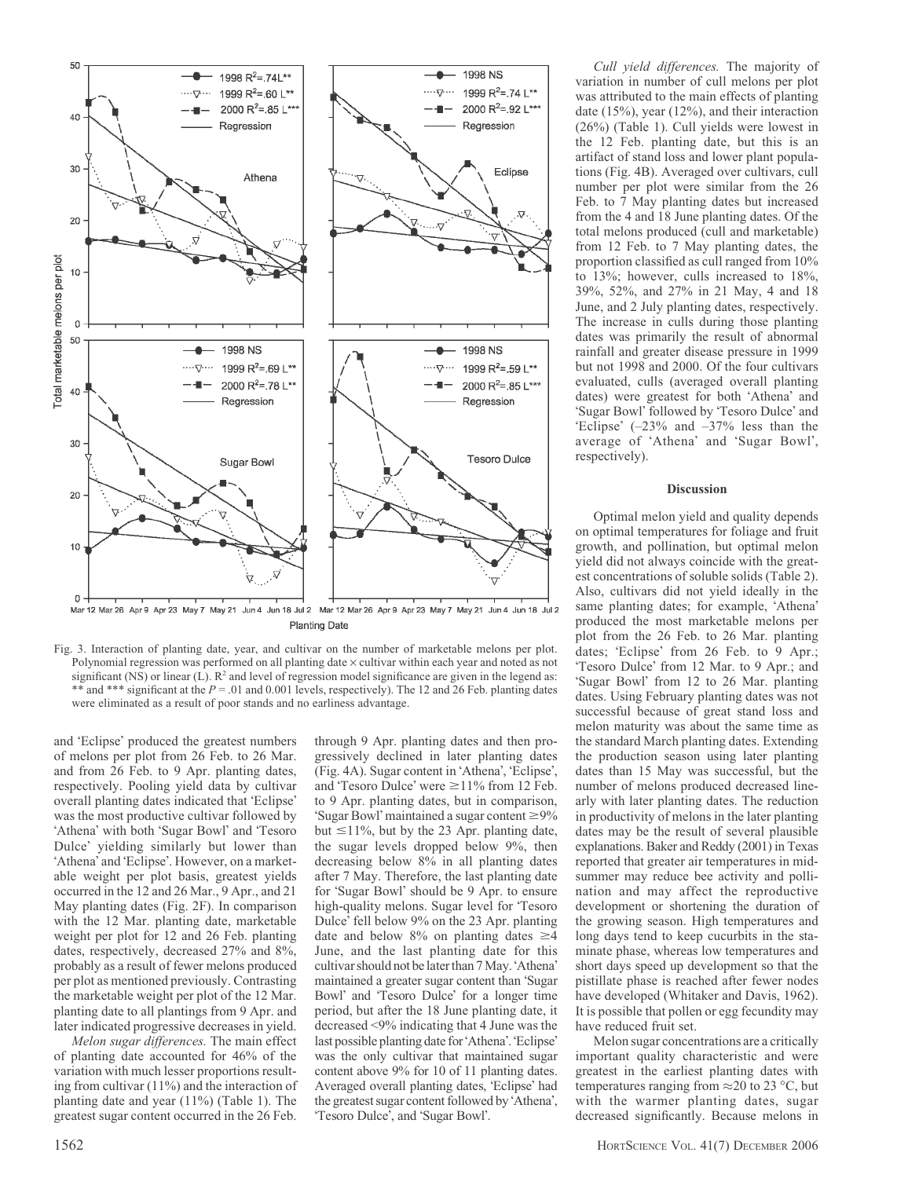

Mar 12 Mar 26 Apr 9 Apr 23 May 7 May 21 Jun 4 Jun 18 Jul 2 Mar 12 Mar 26 Apr 9 Apr 23 May 7 May 21 Jun 4 Jun 18 Jul 2 **Planting Date** 



and 'Eclipse' produced the greatest numbers of melons per plot from 26 Feb. to 26 Mar. and from 26 Feb. to 9 Apr. planting dates, respectively. Pooling yield data by cultivar overall planting dates indicated that 'Eclipse' was the most productive cultivar followed by 'Athena' with both 'Sugar Bowl' and 'Tesoro Dulce' yielding similarly but lower than 'Athena' and 'Eclipse'. However, on a marketable weight per plot basis, greatest yields occurred in the 12 and 26 Mar., 9 Apr., and 21 May planting dates (Fig. 2F). In comparison with the 12 Mar. planting date, marketable weight per plot for 12 and 26 Feb. planting dates, respectively, decreased 27% and 8%, probably as a result of fewer melons produced per plot as mentioned previously. Contrasting the marketable weight per plot of the 12 Mar. planting date to all plantings from 9 Apr. and later indicated progressive decreases in yield.

Melon sugar differences. The main effect of planting date accounted for 46% of the variation with much lesser proportions resulting from cultivar (11%) and the interaction of planting date and year (11%) (Table 1). The greatest sugar content occurred in the 26 Feb.

through 9 Apr. planting dates and then progressively declined in later planting dates (Fig. 4A). Sugar content in 'Athena', 'Eclipse', and 'Tesoro Dulce' were  $\geq$ 11% from 12 Feb. to 9 Apr. planting dates, but in comparison, 'Sugar Bowl' maintained a sugar content  $\geq 9\%$ but  $\leq$ 11%, but by the 23 Apr. planting date, the sugar levels dropped below 9%, then decreasing below 8% in all planting dates after 7 May. Therefore, the last planting date for 'Sugar Bowl' should be 9 Apr. to ensure high-quality melons. Sugar level for Tesoro Dulce' fell below 9% on the 23 Apr. planting date and below 8% on planting dates  $\geq 4$ June, and the last planting date for this cultivar should not be later than 7 May. 'Athena' maintained a greater sugar content than 'Sugar Bowl' and 'Tesoro Dulce' for a longer time period, but after the 18 June planting date, it decreased <9% indicating that 4 June was the last possible planting date for 'Athena'. 'Eclipse' was the only cultivar that maintained sugar content above 9% for 10 of 11 planting dates. Averaged overall planting dates, 'Eclipse' had the greatest sugar content followed by 'Athena', 'Tesoro Dulce', and 'Sugar Bowl'.

Cull yield differences. The majority of variation in number of cull melons per plot was attributed to the main effects of planting date (15%), year (12%), and their interaction (26%) (Table 1). Cull yields were lowest in the 12 Feb. planting date, but this is an artifact of stand loss and lower plant populations (Fig. 4B). Averaged over cultivars, cull number per plot were similar from the 26 Feb. to 7 May planting dates but increased from the 4 and 18 June planting dates. Of the total melons produced (cull and marketable) from 12 Feb. to 7 May planting dates, the proportion classified as cull ranged from 10% to 13%; however, culls increased to 18%, 39%, 52%, and 27% in 21 May, 4 and 18 June, and 2 July planting dates, respectively. The increase in culls during those planting dates was primarily the result of abnormal rainfall and greater disease pressure in 1999 but not 1998 and 2000. Of the four cultivars evaluated, culls (averaged overall planting dates) were greatest for both 'Athena' and 'Sugar Bowl' followed by 'Tesoro Dulce' and 'Eclipse'  $(-23\%$  and  $-37\%$  less than the average of 'Athena' and 'Sugar Bowl', respectively).

### Discussion

Optimal melon yield and quality depends on optimal temperatures for foliage and fruit growth, and pollination, but optimal melon yield did not always coincide with the greatest concentrations of soluble solids (Table 2). Also, cultivars did not yield ideally in the same planting dates; for example, 'Athena' produced the most marketable melons per plot from the 26 Feb. to 26 Mar. planting dates; 'Eclipse' from 26 Feb. to 9 Apr.; 'Tesoro Dulce' from 12 Mar. to 9 Apr.; and 'Sugar Bowl' from 12 to 26 Mar. planting dates. Using February planting dates was not successful because of great stand loss and melon maturity was about the same time as the standard March planting dates. Extending the production season using later planting dates than 15 May was successful, but the number of melons produced decreased linearly with later planting dates. The reduction in productivity of melons in the later planting dates may be the result of several plausible explanations. Baker and Reddy (2001) in Texas reported that greater air temperatures in midsummer may reduce bee activity and pollination and may affect the reproductive development or shortening the duration of the growing season. High temperatures and long days tend to keep cucurbits in the staminate phase, whereas low temperatures and short days speed up development so that the pistillate phase is reached after fewer nodes have developed (Whitaker and Davis, 1962). It is possible that pollen or egg fecundity may have reduced fruit set.

Melon sugar concentrations are a critically important quality characteristic and were greatest in the earliest planting dates with temperatures ranging from  $\approx$  20 to 23 °C, but with the warmer planting dates, sugar decreased significantly. Because melons in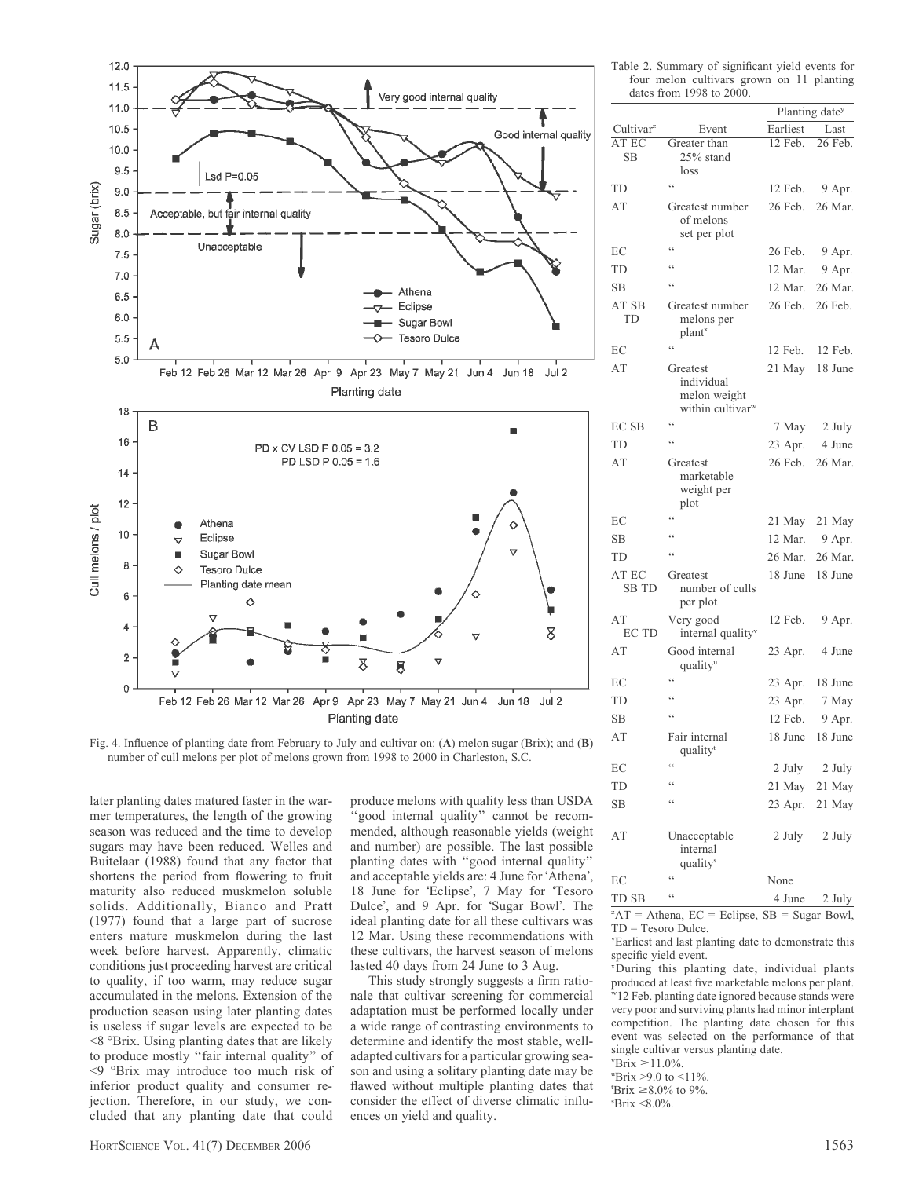cluded that any planting date that could HORTSCIENCE VOL. 41(7) DECEMBER 2006 1563

jection. Therefore, in our study, we con-

mer temperatures, the length of the growing season was reduced and the time to develop sugars may have been reduced. Welles and Buitelaar (1988) found that any factor that shortens the period from flowering to fruit maturity also reduced muskmelon soluble solids. Additionally, Bianco and Pratt (1977) found that a large part of sucrose enters mature muskmelon during the last week before harvest. Apparently, climatic conditions just proceeding harvest are critical to quality, if too warm, may reduce sugar accumulated in the melons. Extension of the production season using later planting dates is useless if sugar levels are expected to be  $<$ 8 °Brix. Using planting dates that are likely to produce mostly ''fair internal quality'' of <9 Brix may introduce too much risk of inferior product quality and consumer re-

Fig. 4. Influence of planting date from February to July and cultivar on: (A) melon sugar (Brix); and (B) number of cull melons per plot of melons grown from 1998 to 2000 in Charleston, S.C.

8

Feb 12 Feb 26 Mar 12 Mar 26 Apr 9 Apr 23 May 7 May 21 Jun 4 Jun 18 Jul 2 Planting date

g

later planting dates matured faster in the war-

Athena

Eclipse Sugar Bowl

♦

**Tesoro Dulce** 

Planting date mean

♦

 $12.0$  $11.5$ 

11.0  $10.5$ 

 $10.0$ 9.5

> $9.0$ 8.5

> $8.0$

 $7.5$  $7.0$ 

6.5

6.0

 $5.5$ 

 $5.0$ 

18

16

14

 $12$ 

 $10$ 

8

 $\,6\,$ 

 $\overline{4}$ 

 $\overline{2}$ 

 $\overline{0}$ 

Cull melons / plot

B

Sugar (brix)

Lsd  $P=0.05$ 

Acceptable, but fair internal quality

Unacceptable

produce melons with quality less than USDA 'good internal quality" cannot be recommended, although reasonable yields (weight and number) are possible. The last possible planting dates with ''good internal quality'' and acceptable yields are: 4 June for 'Athena', 18 June for 'Eclipse', 7 May for 'Tesoro Dulce', and 9 Apr. for 'Sugar Bowl'. The ideal planting date for all these cultivars was 12 Mar. Using these recommendations with these cultivars, the harvest season of melons lasted 40 days from 24 June to 3 Aug.

Very good internal quality

Athena

Eclipse

Feb 12 Feb 26 Mar 12 Mar 26 Apr 9 Apr 23 May 7 May 21 Jun 4 Jun 18 Jul 2 Planting date

> PD x CV LSD P 0.05 = 3.2 PD LSD P 0.05 = 1.6

Sugar Bowl

Tesoro Dulce

Δ

Good internal quality

Ò

 $\triangledown$ 

8

This study strongly suggests a firm rationale that cultivar screening for commercial adaptation must be performed locally under a wide range of contrasting environments to determine and identify the most stable, welladapted cultivars for a particular growing season and using a solitary planting date may be flawed without multiple planting dates that consider the effect of diverse climatic influences on yield and quality.

| Cultivar <sup>2</sup> | Event                                                      | Earliest | Last    |
|-----------------------|------------------------------------------------------------|----------|---------|
| AT EC<br><b>SB</b>    | Greater than<br>25% stand                                  | 12 Feb.  | 26 Feb. |
|                       | loss                                                       |          |         |
| TD                    | ٤ć                                                         | 12 Feb.  | 9 Apr.  |
| AT                    | Greatest number                                            | 26 Feb.  | 26 Mar. |
|                       | of melons<br>set per plot                                  |          |         |
| ЕC                    | c c                                                        | 26 Feb.  | 9 Apr.  |
| TD                    | $\epsilon$                                                 | 12 Mar.  | 9 Apr.  |
| <b>SB</b>             | ٤č                                                         | 12 Mar.  | 26 Mar. |
| AT SB<br>TD           | Greatest number<br>melons per<br>plant <sup>x</sup>        | 26 Feb.  | 26 Feb. |
| EC                    | $\ddot{\epsilon}$                                          | 12 Feb.  | 12 Feb. |
| AT                    | Greatest                                                   | 21 May   | 18 June |
|                       | individual<br>melon weight<br>within cultivar <sup>w</sup> |          |         |
| <b>ECSB</b>           | ٤ć                                                         | 7 May    | 2 July  |
| TD                    | $\epsilon$                                                 | 23 Apr.  | 4 June  |
| AT                    | Greatest<br>marketable<br>weight per<br>plot               | 26 Feb.  | 26 Mar. |
| ЕC                    | $\zeta$ $\zeta$                                            | 21 May   | 21 May  |
| <b>SB</b>             | $\epsilon$                                                 | 12 Mar.  | 9 Apr.  |
| <b>TD</b>             | ٤ċ                                                         | 26 Mar.  | 26 Mar. |
| AT EC<br><b>SB TD</b> | Greatest<br>number of culls                                | 18 June  | 18 June |
|                       | per plot                                                   |          |         |
| AT<br>EC TD           | Very good<br>internal quality <sup>v</sup>                 | 12 Feb.  | 9 Apr.  |
| AT                    | Good internal<br>quality <sup>u</sup>                      | 23 Apr.  | 4 June  |
| EC                    | ٤ċ                                                         | 23 Apr.  | 18 June |
| TD                    | $\zeta$ $\zeta$                                            | 23 Apr.  | 7 May   |
| <b>SB</b>             | $\zeta$ $\zeta$                                            | 12 Feb.  | 9 Apr.  |
| AT                    | Fair internal<br>quality <sup>t</sup>                      | 18 June  | 18 June |
| EС                    | 66                                                         | 2 July   | 2 July  |
| TD                    | $\epsilon$                                                 | 21 May   | 21 May  |
| <b>SB</b>             | $\epsilon$                                                 | 23 Apr.  | 21 May  |
| AT                    | Unacceptable                                               | 2 July   | 2 July  |

Table 2. Summary of significant yield events for four melon cultivars grown on 11 planting

Planting date<sup>y</sup>

dates from 1998 to 2000.

EC " None TD SB  $\qquad \qquad$  4 June 2 July  ${}^zAT =$  Athena,  $EC =$  Eclipse,  $SB =$  Sugar Bowl, TD = Tesoro Dulce.

internal qualitys

y Earliest and last planting date to demonstrate this specific yield event.

x During this planting date, individual plants produced at least five marketable melons per plant. w12 Feb. planting date ignored because stands were very poor and surviving plants had minor interplant competition. The planting date chosen for this event was selected on the performance of that single cultivar versus planting date.

 $v$ Brix  $\geq$ 11.0%

"Brix >9.0 to  $\leq 11\%$ .

'Brix  $\geq 8.0\%$  to 9%.

s Brix <8.0%.